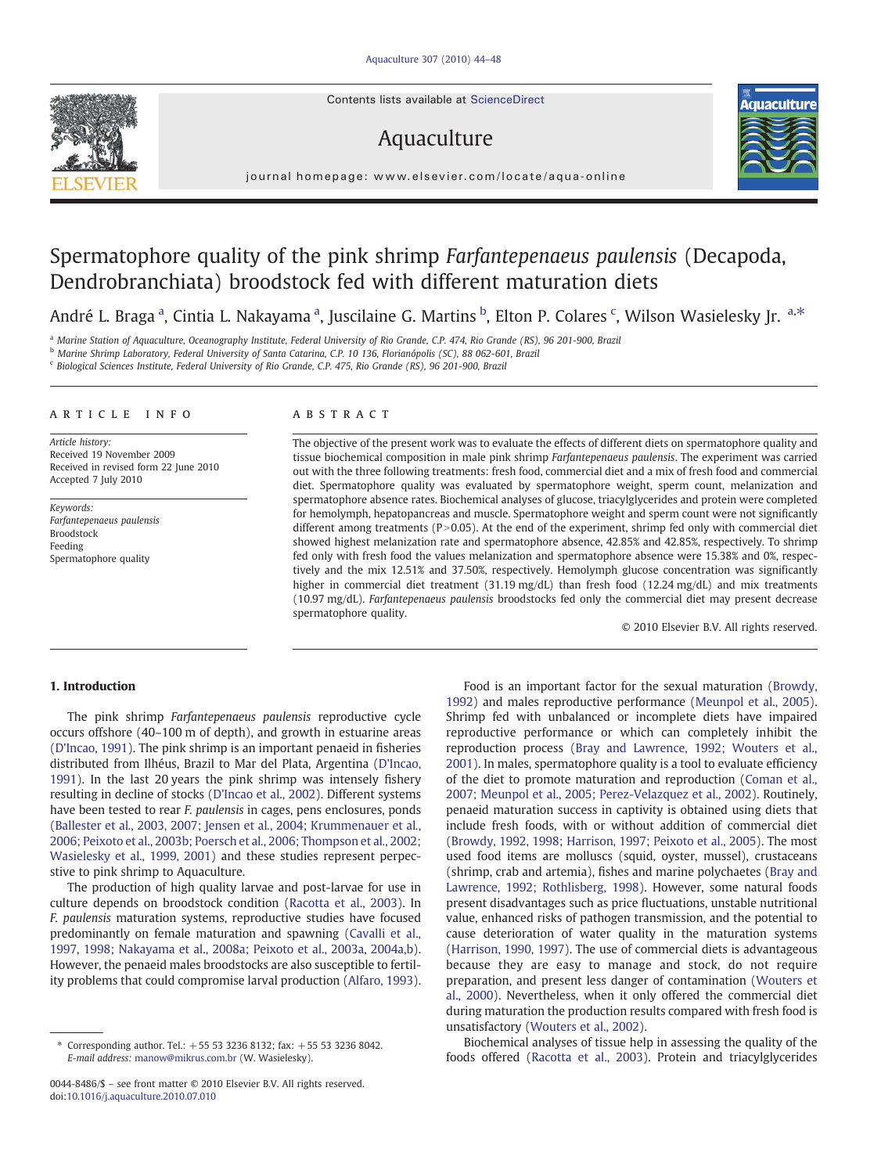Contents lists available at ScienceDirect

# Aquaculture



 $j$  o u r n a l  $j$  of  $\mathcal{C}$  is even if the commodation  $\mathcal{C}$ 

# Spermatophore quality of the pink shrimp Farfantepenaeus paulensis (Decapoda, Dendrobranchiata) broodstock fed with different maturation diets

André L. Braga <sup>a</sup>, Cintia L. Nakayama <sup>a</sup>, Juscilaine G. Martins <sup>b</sup>, Elton P. Colares <sup>c</sup>, Wilson Wasielesky Jr. <sup>a,\*</sup>

<sup>a</sup> Marine Station of Aquaculture, Oceanography Institute, Federal University of Rio Grande, C.P. 474, Rio Grande (RS), 96 201-900, Brazil

<sup>b</sup> Marine Shrimp Laboratory, Federal University of Santa Catarina, C.P. 10 136, Florianópolis (SC), 88 062-601, Brazil

<sup>c</sup> Biological Sciences Institute, Federal University of Rio Grande, C.P. 475, Rio Grande (RS), 96 201-900, Brazil

#### ARTICLE INFO ABSTRACT

Article history: Received 19 November 2009 Received in revised form 22 June 2010 Accepted 7 July 2010

Keywords: Farfantepenaeus paulensis **Broodstock** Feeding Spermatophore quality

The objective of the present work was to evaluate the effects of different diets on spermatophore quality and tissue biochemical composition in male pink shrimp Farfantepenaeus paulensis. The experiment was carried out with the three following treatments: fresh food, commercial diet and a mix of fresh food and commercial diet. Spermatophore quality was evaluated by spermatophore weight, sperm count, melanization and spermatophore absence rates. Biochemical analyses of glucose, triacylglycerides and protein were completed for hemolymph, hepatopancreas and muscle. Spermatophore weight and sperm count were not significantly different among treatments ( $P > 0.05$ ). At the end of the experiment, shrimp fed only with commercial diet showed highest melanization rate and spermatophore absence, 42.85% and 42.85%, respectively. To shrimp fed only with fresh food the values melanization and spermatophore absence were 15.38% and 0%, respectively and the mix 12.51% and 37.50%, respectively. Hemolymph glucose concentration was significantly higher in commercial diet treatment (31.19 mg/dL) than fresh food (12.24 mg/dL) and mix treatments (10.97 mg/dL). Farfantepenaeus paulensis broodstocks fed only the commercial diet may present decrease spermatophore quality.

© 2010 Elsevier B.V. All rights reserved.

### 1. Introduction

The pink shrimp Farfantepenaeus paulensis reproductive cycle occurs offshore (40–100 m of depth), and growth in estuarine areas [\(D'Incao, 1991](#page-3-0)). The pink shrimp is an important penaeid in fisheries distributed from Ilhéus, Brazil to Mar del Plata, Argentina [\(D'Incao,](#page-3-0) [1991\)](#page-3-0). In the last 20 years the pink shrimp was intensely fishery resulting in decline of stocks [\(D'Incao et al., 2002](#page-3-0)). Different systems have been tested to rear F. paulensis in cages, pens enclosures, ponds (Ballester et al., 2003, 2007; Jensen et al.[, 2004; Krummenauer et al](#page-3-0)., [2006; Peixoto et al., 2003b; Poersch et al](#page-3-0)., 2006; Thompson et al., 2002; [Wasielesky et al](#page-3-0)., 1999, 2001) and these studies represent perpecstive to pink shrimp to Aquaculture.

The production of high quality larvae and post-larvae for use in culture depends on broodstock condition ([Racotta et al., 2003\)](#page-4-0). In F. paulensis maturation systems, reproductive studies have focused predominantly on female maturation and spawning [\(Cavalli et al.,](#page-3-0) [1997, 1998; Nakayama et al., 2008a; Peixoto et al., 2003a, 2004a,b](#page-3-0)). However, the penaeid males broodstocks are also susceptible to fertility problems that could compromise larval production ([Alfaro, 1993](#page-3-0)).

Food is an important factor for the sexual maturation ([Browdy,](#page-3-0) [1992\)](#page-3-0) and males reproductive performance [\(Meunpol et al., 2005](#page-3-0)). Shrimp fed with unbalanced or incomplete diets have impaired reproductive performance or which can completely inhibit the reproduction process [\(Bray and Lawrence, 1992; Wouters et al.,](#page-3-0) [2001\)](#page-3-0). In males, spermatophore quality is a tool to evaluate efficiency of the diet to promote maturation and reproduction ([Coman et al.,](#page-3-0) [2007; Meunpol et al., 2005; Perez-Velazquez et al., 2002](#page-3-0)). Routinely, penaeid maturation success in captivity is obtained using diets that include fresh foods, with or without addition of commercial diet [\(Browdy, 1992, 1998; Harrison, 1997; Peixoto et al., 2005](#page-3-0)). The most used food items are molluscs (squid, oyster, mussel), crustaceans (shrimp, crab and artemia), fishes and marine polychaetes ([Bray and](#page-3-0) [Lawrence, 1992; Rothlisberg, 1998](#page-3-0)). However, some natural foods present disadvantages such as price fluctuations, unstable nutritional value, enhanced risks of pathogen transmission, and the potential to cause deterioration of water quality in the maturation systems [\(Harrison, 1990, 1997\)](#page-3-0). The use of commercial diets is advantageous because they are easy to manage and stock, do not require preparation, and present less danger of contamination [\(Wouters et](#page-4-0) [al., 2000\)](#page-4-0). Nevertheless, when it only offered the commercial diet during maturation the production results compared with fresh food is unsatisfactory ([Wouters et al., 2002](#page-4-0)).

Biochemical analyses of tissue help in assessing the quality of the foods offered ([Racotta et al., 2003\)](#page-4-0). Protein and triacylglycerides

<sup>⁎</sup> Corresponding author. Tel.: +55 53 3236 8132; fax: +55 53 3236 8042. E-mail address: [manow@mikrus.com.br](mailto:manow@mikrus.com.br) (W. Wasielesky).

<sup>0044-8486/\$</sup> – see front matter © 2010 Elsevier B.V. All rights reserved. doi[:10.1016/j.aquaculture.2010.07.010](http://dx.doi.org/10.1016/j.aquaculture.2010.07.010)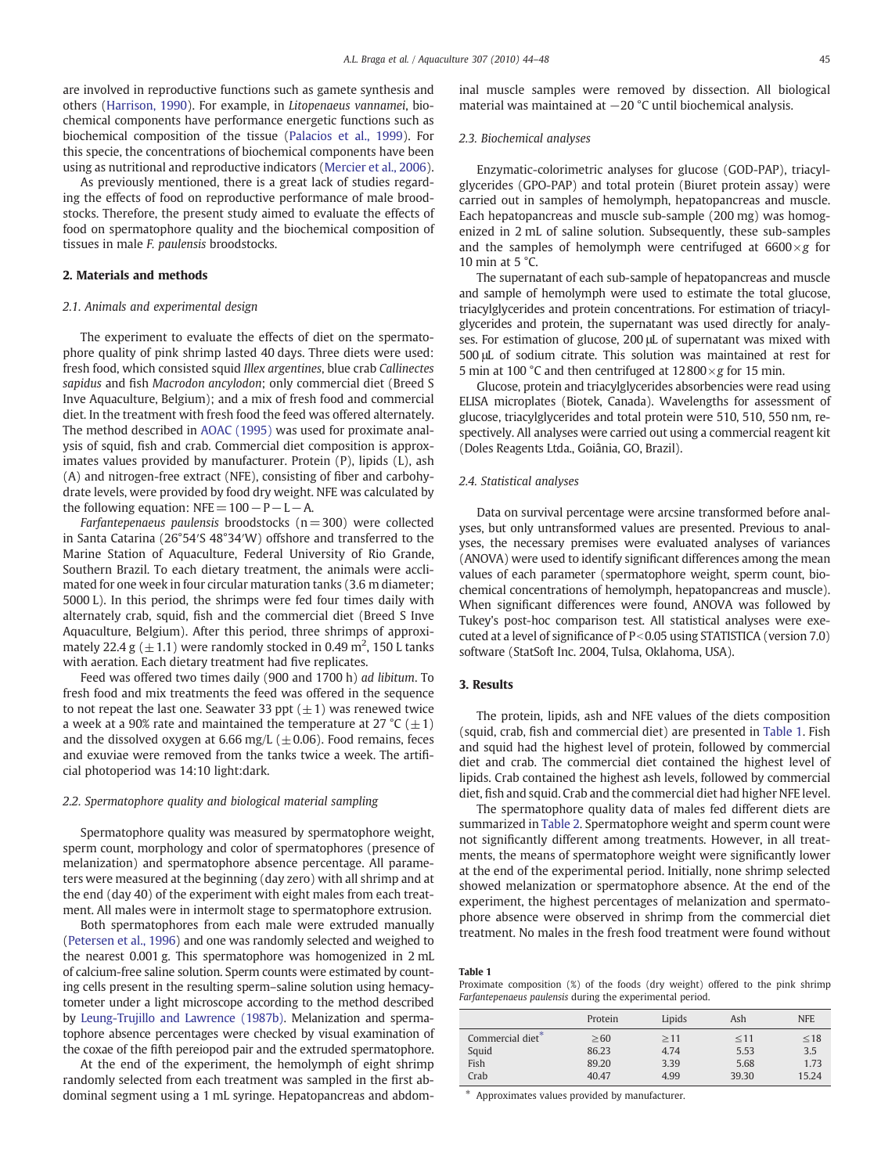<span id="page-1-0"></span>are involved in reproductive functions such as gamete synthesis and others [\(Harrison, 1990\)](#page-3-0). For example, in Litopenaeus vannamei, biochemical components have performance energetic functions such as biochemical composition of the tissue ([Palacios et al., 1999](#page-3-0)). For this specie, the concentrations of biochemical components have been using as nutritional and reproductive indicators [\(Mercier et al., 2006](#page-3-0)).

As previously mentioned, there is a great lack of studies regarding the effects of food on reproductive performance of male broodstocks. Therefore, the present study aimed to evaluate the effects of food on spermatophore quality and the biochemical composition of tissues in male F. paulensis broodstocks.

### 2. Materials and methods

### 2.1. Animals and experimental design

The experiment to evaluate the effects of diet on the spermatophore quality of pink shrimp lasted 40 days. Three diets were used: fresh food, which consisted squid Illex argentines, blue crab Callinectes sapidus and fish Macrodon ancylodon; only commercial diet (Breed S Inve Aquaculture, Belgium); and a mix of fresh food and commercial diet. In the treatment with fresh food the feed was offered alternately. The method described in [AOAC \(1995\)](#page-3-0) was used for proximate analysis of squid, fish and crab. Commercial diet composition is approximates values provided by manufacturer. Protein (P), lipids (L), ash (A) and nitrogen-free extract (NFE), consisting of fiber and carbohydrate levels, were provided by food dry weight. NFE was calculated by the following equation: NFE= 100−P−L−A.

Farfantepenaeus paulensis broodstocks ( $n=300$ ) were collected in Santa Catarina (26°54′S 48°34′W) offshore and transferred to the Marine Station of Aquaculture, Federal University of Rio Grande, Southern Brazil. To each dietary treatment, the animals were acclimated for one week in four circular maturation tanks (3.6 m diameter; 5000 L). In this period, the shrimps were fed four times daily with alternately crab, squid, fish and the commercial diet (Breed S Inve Aquaculture, Belgium). After this period, three shrimps of approximately 22.4 g  $(\pm 1.1)$  were randomly stocked in 0.49 m<sup>2</sup>, 150 L tanks with aeration. Each dietary treatment had five replicates.

Feed was offered two times daily (900 and 1700 h) ad libitum. To fresh food and mix treatments the feed was offered in the sequence to not repeat the last one. Seawater 33 ppt  $(\pm 1)$  was renewed twice a week at a 90% rate and maintained the temperature at 27 °C ( $\pm$ 1) and the dissolved oxygen at 6.66 mg/L ( $\pm$ 0.06). Food remains, feces and exuviae were removed from the tanks twice a week. The artificial photoperiod was 14:10 light:dark.

#### 2.2. Spermatophore quality and biological material sampling

Spermatophore quality was measured by spermatophore weight, sperm count, morphology and color of spermatophores (presence of melanization) and spermatophore absence percentage. All parameters were measured at the beginning (day zero) with all shrimp and at the end (day 40) of the experiment with eight males from each treatment. All males were in intermolt stage to spermatophore extrusion.

Both spermatophores from each male were extruded manually [\(Petersen et al., 1996\)](#page-4-0) and one was randomly selected and weighed to the nearest 0.001 g. This spermatophore was homogenized in 2 mL of calcium-free saline solution. Sperm counts were estimated by counting cells present in the resulting sperm–saline solution using hemacytometer under a light microscope according to the method described by [Leung-Trujillo and Lawrence \(1987b\).](#page-3-0) Melanization and spermatophore absence percentages were checked by visual examination of the coxae of the fifth pereiopod pair and the extruded spermatophore.

At the end of the experiment, the hemolymph of eight shrimp randomly selected from each treatment was sampled in the first abdominal segment using a 1 mL syringe. Hepatopancreas and abdominal muscle samples were removed by dissection. All biological material was maintained at −20 °C until biochemical analysis.

#### 2.3. Biochemical analyses

Enzymatic-colorimetric analyses for glucose (GOD-PAP), triacylglycerides (GPO-PAP) and total protein (Biuret protein assay) were carried out in samples of hemolymph, hepatopancreas and muscle. Each hepatopancreas and muscle sub-sample (200 mg) was homogenized in 2 mL of saline solution. Subsequently, these sub-samples and the samples of hemolymph were centrifuged at  $6600 \times g$  for 10 min at  $5^{\circ}$ C.

The supernatant of each sub-sample of hepatopancreas and muscle and sample of hemolymph were used to estimate the total glucose, triacylglycerides and protein concentrations. For estimation of triacylglycerides and protein, the supernatant was used directly for analyses. For estimation of glucose, 200 μL of supernatant was mixed with 500 μL of sodium citrate. This solution was maintained at rest for 5 min at 100 °C and then centrifuged at  $12800 \times g$  for 15 min.

Glucose, protein and triacylglycerides absorbencies were read using ELISA microplates (Biotek, Canada). Wavelengths for assessment of glucose, triacylglycerides and total protein were 510, 510, 550 nm, respectively. All analyses were carried out using a commercial reagent kit (Doles Reagents Ltda., Goiânia, GO, Brazil).

#### 2.4. Statistical analyses

Data on survival percentage were arcsine transformed before analyses, but only untransformed values are presented. Previous to analyses, the necessary premises were evaluated analyses of variances (ANOVA) were used to identify significant differences among the mean values of each parameter (spermatophore weight, sperm count, biochemical concentrations of hemolymph, hepatopancreas and muscle). When significant differences were found, ANOVA was followed by Tukey's post-hoc comparison test. All statistical analyses were executed at a level of significance of  $P<0.05$  using STATISTICA (version 7.0) software (StatSoft Inc. 2004, Tulsa, Oklahoma, USA).

#### 3. Results

The protein, lipids, ash and NFE values of the diets composition (squid, crab, fish and commercial diet) are presented in Table 1. Fish and squid had the highest level of protein, followed by commercial diet and crab. The commercial diet contained the highest level of lipids. Crab contained the highest ash levels, followed by commercial diet, fish and squid. Crab and the commercial diet had higher NFE level.

The spermatophore quality data of males fed different diets are summarized in [Table 2](#page-2-0). Spermatophore weight and sperm count were not significantly different among treatments. However, in all treatments, the means of spermatophore weight were significantly lower at the end of the experimental period. Initially, none shrimp selected showed melanization or spermatophore absence. At the end of the experiment, the highest percentages of melanization and spermatophore absence were observed in shrimp from the commercial diet treatment. No males in the fresh food treatment were found without

#### Table 1

Proximate composition (%) of the foods (dry weight) offered to the pink shrimp Farfantepenaeus paulensis during the experimental period.

|                  | Protein   | Lipids    | Ash       | <b>NFE</b> |
|------------------|-----------|-----------|-----------|------------|
| Commercial diet* | $\geq 60$ | $\geq$ 11 | $\leq 11$ | $\leq 18$  |
| Squid            | 86.23     | 4.74      | 5.53      | 3.5        |
| Fish             | 89.20     | 3.39      | 5.68      | 1.73       |
| Crab             | 40.47     | 4.99      | 39.30     | 15.24      |

Approximates values provided by manufacturer.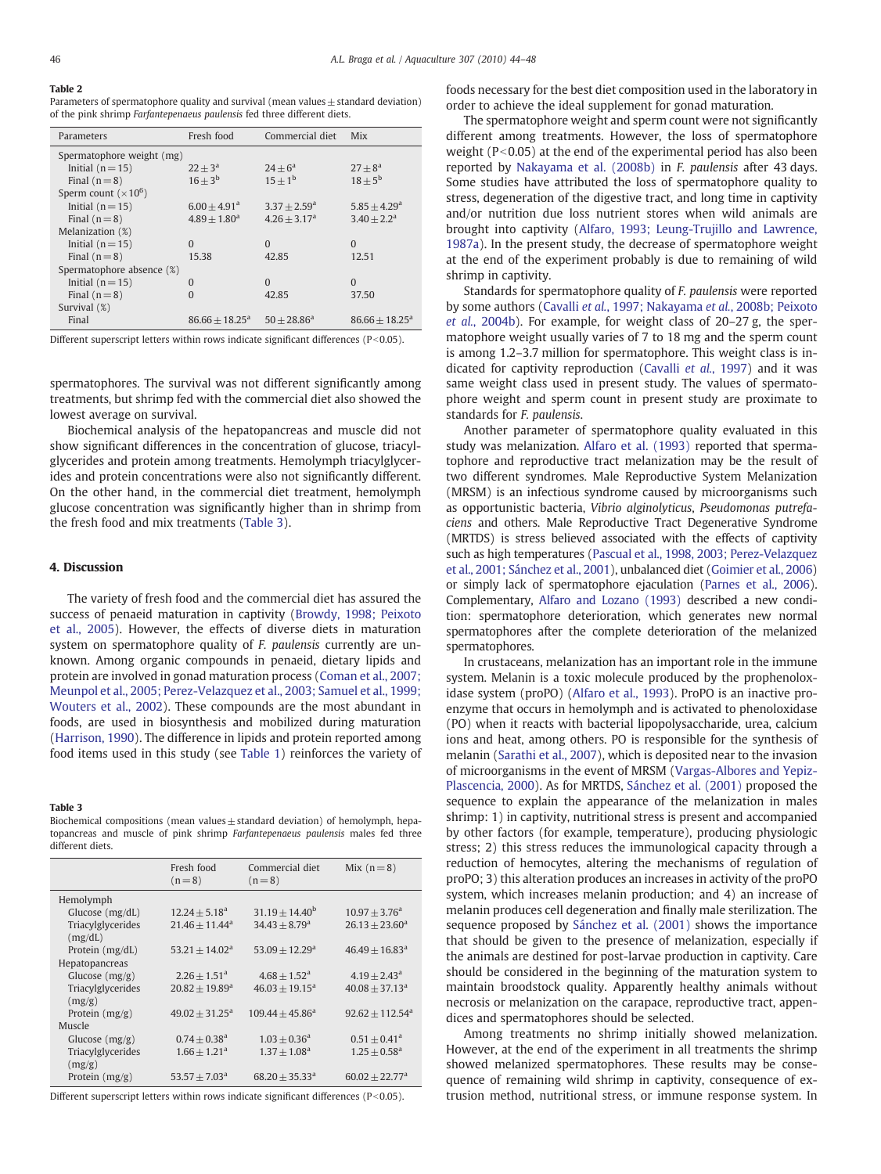## <span id="page-2-0"></span>Table 2

Parameters of spermatophore quality and survival (mean values  $\pm$  standard deviation) of the pink shrimp Farfantepenaeus paulensis fed three different diets.

| Parameters                | Fresh food                 | Commercial diet | <b>Mix</b>                 |
|---------------------------|----------------------------|-----------------|----------------------------|
| Spermatophore weight (mg) |                            |                 |                            |
| Initial $(n=15)$          | $22 + 3^a$                 | $24 + 6^a$      | $27 + 8^a$                 |
| Final $(n=8)$             | $16 + 3^b$                 | $15+1^{b}$      | $18 + 5^{\rm b}$           |
| Sperm count $(x10^6)$     |                            |                 |                            |
| Initial $(n = 15)$        | $6.00 + 4.91$ <sup>a</sup> | $3.37 + 2.59^a$ | $5.85 + 4.29$ <sup>a</sup> |
| Final $(n=8)$             | $4.89 + 1.80$ <sup>a</sup> | $4.26 + 3.17a$  | $3.40 + 2.2a$              |
| Melanization (%)          |                            |                 |                            |
| Initial $(n=15)$          | $\Omega$                   | $\Omega$        | $\Omega$                   |
| Final $(n=8)$             | 15.38                      | 42.85           | 12.51                      |
| Spermatophore absence (%) |                            |                 |                            |
| Initial $(n=15)$          | $\Omega$                   | $\Omega$        | $\Omega$                   |
| Final $(n=8)$             | $\Omega$                   | 42.85           | 37.50                      |
| Survival (%)              |                            |                 |                            |
| Final                     | $86.66 + 18.25^{\text{a}}$ | $50 + 28.86^a$  | $86.66 + 18.25^{\text{a}}$ |

Different superscript letters within rows indicate significant differences ( $P<0.05$ ).

spermatophores. The survival was not different significantly among treatments, but shrimp fed with the commercial diet also showed the lowest average on survival.

Biochemical analysis of the hepatopancreas and muscle did not show significant differences in the concentration of glucose, triacylglycerides and protein among treatments. Hemolymph triacylglycerides and protein concentrations were also not significantly different. On the other hand, in the commercial diet treatment, hemolymph glucose concentration was significantly higher than in shrimp from the fresh food and mix treatments (Table 3).

#### 4. Discussion

The variety of fresh food and the commercial diet has assured the success of penaeid maturation in captivity ([Browdy, 1998; Peixoto](#page-3-0) [et al., 2005](#page-3-0)). However, the effects of diverse diets in maturation system on spermatophore quality of F. paulensis currently are unknown. Among organic compounds in penaeid, dietary lipids and protein are involved in gonad maturation process [\(Coman et al., 2007;](#page-3-0) [Meunpol et al., 2005; Perez-Velazquez et al., 2003; Samuel et al., 1999;](#page-3-0) [Wouters et al., 2002](#page-3-0)). These compounds are the most abundant in foods, are used in biosynthesis and mobilized during maturation [\(Harrison, 1990\)](#page-3-0). The difference in lipids and protein reported among food items used in this study (see [Table 1\)](#page-1-0) reinforces the variety of

#### Table 3

Biochemical compositions (mean values  $\pm$  standard deviation) of hemolymph, hepatopancreas and muscle of pink shrimp Farfantepenaeus paulensis males fed three different diets.

|                   | Fresh food<br>$(n=8)$        | Commercial diet<br>$(n=8)$   | Mix $(n=8)$                   |
|-------------------|------------------------------|------------------------------|-------------------------------|
| Hemolymph         |                              |                              |                               |
| Glucose $(mg/dL)$ | $12.24 + 5.18a$              | $31.19 + 14.40^b$            | $10.97 + 3.76^{\text{a}}$     |
| Triacylglycerides | $21.46 + 11.44$ <sup>a</sup> | $34.43 + 8.79$ <sup>a</sup>  | $26.13 + 23.60^a$             |
| (mg/dL)           |                              |                              |                               |
| Protein $(mg/dL)$ | $53.21 \pm 14.02^a$          | $53.09 + 12.29$ <sup>a</sup> | $46.49 + 16.83$ <sup>a</sup>  |
| Hepatopancreas    |                              |                              |                               |
| Glucose $(mg/g)$  | $2.26 + 1.51$ <sup>a</sup>   | $4.68 + 1.52^{\text{a}}$     | $4.19 + 2.43^{\circ}$         |
| Triacylglycerides | $20.82 + 19.89$ <sup>a</sup> | $46.03 + 19.15^a$            | $40.08 + 37.13a$              |
| (mg/g)            |                              |                              |                               |
| Protein $(mg/g)$  | $49.02 + 31.25^a$            | $109.44 + 45.86^a$           | $92.62 + 112.54$ <sup>a</sup> |
| Muscle            |                              |                              |                               |
| Glucose $(mg/g)$  | $0.74 + 0.38$ <sup>a</sup>   | $1.03 + 0.36^a$              | $0.51 + 0.41$ <sup>a</sup>    |
| Triacylglycerides | $1.66 + 1.21a$               | $1.37 + 1.08a$               | $1.25 + 0.58$ <sup>a</sup>    |
| (mg/g)            |                              |                              |                               |
| Protein $(mg/g)$  | $53.57 + 7.03a$              | $68.20 + 35.33a$             | $60.02 + 22.77$ <sup>a</sup>  |
|                   |                              |                              |                               |

Different superscript letters within rows indicate significant differences ( $P<0.05$ ).

foods necessary for the best diet composition used in the laboratory in order to achieve the ideal supplement for gonad maturation.

The spermatophore weight and sperm count were not significantly different among treatments. However, the loss of spermatophore weight ( $P<0.05$ ) at the end of the experimental period has also been reported by [Nakayama et al. \(2008b\)](#page-3-0) in F. paulensis after 43 days. Some studies have attributed the loss of spermatophore quality to stress, degeneration of the digestive tract, and long time in captivity and/or nutrition due loss nutrient stores when wild animals are brought into captivity ([Alfaro, 1993; Leung-Trujillo and Lawrence,](#page-3-0) [1987a\)](#page-3-0). In the present study, the decrease of spermatophore weight at the end of the experiment probably is due to remaining of wild shrimp in captivity.

Standards for spermatophore quality of F. paulensis were reported by some authors (Cavalli et al.[, 1997; Nakayama](#page-3-0) et al., 2008b; Peixoto et al.[, 2004b](#page-3-0)). For example, for weight class of 20–27 g, the spermatophore weight usually varies of 7 to 18 mg and the sperm count is among 1.2–3.7 million for spermatophore. This weight class is indicated for captivity reproduction ([Cavalli](#page-3-0) et al., 1997) and it was same weight class used in present study. The values of spermatophore weight and sperm count in present study are proximate to standards for F. paulensis.

Another parameter of spermatophore quality evaluated in this study was melanization. [Alfaro et al. \(1993\)](#page-3-0) reported that spermatophore and reproductive tract melanization may be the result of two different syndromes. Male Reproductive System Melanization (MRSM) is an infectious syndrome caused by microorganisms such as opportunistic bacteria, Vibrio alginolyticus, Pseudomonas putrefaciens and others. Male Reproductive Tract Degenerative Syndrome (MRTDS) is stress believed associated with the effects of captivity such as high temperatures ([Pascual et al., 1998, 2003; Perez-Velazquez](#page-3-0) [et al., 2001; Sánchez et al., 2001](#page-3-0)), unbalanced diet [\(Goimier et al., 2006](#page-3-0)) or simply lack of spermatophore ejaculation ([Parnes et al., 2006\)](#page-3-0). Complementary, [Alfaro and Lozano \(1993\)](#page-3-0) described a new condition: spermatophore deterioration, which generates new normal spermatophores after the complete deterioration of the melanized spermatophores.

In crustaceans, melanization has an important role in the immune system. Melanin is a toxic molecule produced by the prophenoloxidase system (proPO) [\(Alfaro et al., 1993\)](#page-3-0). ProPO is an inactive proenzyme that occurs in hemolymph and is activated to phenoloxidase (PO) when it reacts with bacterial lipopolysaccharide, urea, calcium ions and heat, among others. PO is responsible for the synthesis of melanin ([Sarathi et al., 2007\)](#page-4-0), which is deposited near to the invasion of microorganisms in the event of MRSM ([Vargas-Albores and Yepiz-](#page-4-0)[Plascencia, 2000](#page-4-0)). As for MRTDS, [Sánchez et al. \(2001\)](#page-4-0) proposed the sequence to explain the appearance of the melanization in males shrimp: 1) in captivity, nutritional stress is present and accompanied by other factors (for example, temperature), producing physiologic stress; 2) this stress reduces the immunological capacity through a reduction of hemocytes, altering the mechanisms of regulation of proPO; 3) this alteration produces an increases in activity of the proPO system, which increases melanin production; and 4) an increase of melanin produces cell degeneration and finally male sterilization. The sequence proposed by [Sánchez et al. \(2001\)](#page-4-0) shows the importance that should be given to the presence of melanization, especially if the animals are destined for post-larvae production in captivity. Care should be considered in the beginning of the maturation system to maintain broodstock quality. Apparently healthy animals without necrosis or melanization on the carapace, reproductive tract, appendices and spermatophores should be selected.

Among treatments no shrimp initially showed melanization. However, at the end of the experiment in all treatments the shrimp showed melanized spermatophores. These results may be consequence of remaining wild shrimp in captivity, consequence of extrusion method, nutritional stress, or immune response system. In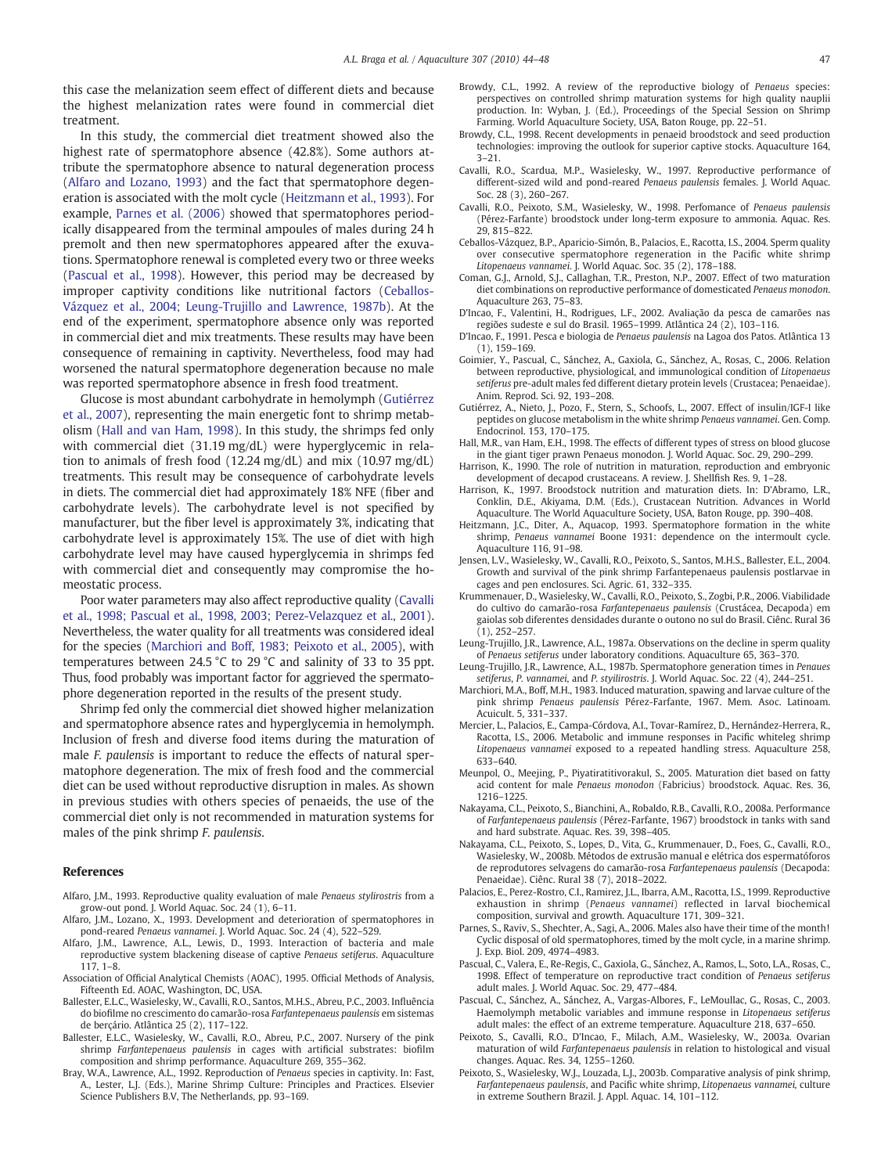<span id="page-3-0"></span>this case the melanization seem effect of different diets and because the highest melanization rates were found in commercial diet treatment.

In this study, the commercial diet treatment showed also the highest rate of spermatophore absence (42.8%). Some authors attribute the spermatophore absence to natural degeneration process (Alfaro and Lozano, 1993) and the fact that spermatophore degeneration is associated with the molt cycle (Heitzmann et al., 1993). For example, Parnes et al. (2006) showed that spermatophores periodically disappeared from the terminal ampoules of males during 24 h premolt and then new spermatophores appeared after the exuvations. Spermatophore renewal is completed every two or three weeks (Pascual et al., 1998). However, this period may be decreased by improper captivity conditions like nutritional factors (Ceballos-Vázquez et al., 2004; Leung-Trujillo and Lawrence, 1987b). At the end of the experiment, spermatophore absence only was reported in commercial diet and mix treatments. These results may have been consequence of remaining in captivity. Nevertheless, food may had worsened the natural spermatophore degeneration because no male was reported spermatophore absence in fresh food treatment.

Glucose is most abundant carbohydrate in hemolymph (Gutiérrez et al., 2007), representing the main energetic font to shrimp metabolism (Hall and van Ham, 1998). In this study, the shrimps fed only with commercial diet (31.19 mg/dL) were hyperglycemic in relation to animals of fresh food (12.24 mg/dL) and mix (10.97 mg/dL) treatments. This result may be consequence of carbohydrate levels in diets. The commercial diet had approximately 18% NFE (fiber and carbohydrate levels). The carbohydrate level is not specified by manufacturer, but the fiber level is approximately 3%, indicating that carbohydrate level is approximately 15%. The use of diet with high carbohydrate level may have caused hyperglycemia in shrimps fed with commercial diet and consequently may compromise the homeostatic process.

Poor water parameters may also affect reproductive quality (Cavalli et al., 1998; Pascual et al., 1998, 2003; Perez-Velazquez et al., 2001). Nevertheless, the water quality for all treatments was considered ideal for the species (Marchiori and Boff, 1983; Peixoto et al., 2005), with temperatures between 24.5 °C to 29 °C and salinity of 33 to 35 ppt. Thus, food probably was important factor for aggrieved the spermatophore degeneration reported in the results of the present study.

Shrimp fed only the commercial diet showed higher melanization and spermatophore absence rates and hyperglycemia in hemolymph. Inclusion of fresh and diverse food items during the maturation of male F. paulensis is important to reduce the effects of natural spermatophore degeneration. The mix of fresh food and the commercial diet can be used without reproductive disruption in males. As shown in previous studies with others species of penaeids, the use of the commercial diet only is not recommended in maturation systems for males of the pink shrimp F. paulensis.

#### References

- Alfaro, J.M., 1993. Reproductive quality evaluation of male Penaeus stylirostris from a grow-out pond. J. World Aquac. Soc. 24 (1), 6–11.
- Alfaro, J.M., Lozano, X., 1993. Development and deterioration of spermatophores in pond-reared Penaeus vannamei. J. World Aquac. Soc. 24 (4), 522–529.
- Alfaro, J.M., Lawrence, A.L., Lewis, D., 1993. Interaction of bacteria and male reproductive system blackening disease of captive Penaeus setiferus. Aquaculture 117, 1–8.
- Association of Official Analytical Chemists (AOAC), 1995. Official Methods of Analysis, Fifteenth Ed. AOAC, Washington, DC, USA.
- Ballester, E.L.C., Wasielesky, W., Cavalli, R.O., Santos, M.H.S., Abreu, P.C., 2003. Influência do biofilme no crescimento do camarão-rosa Farfantepenaeus paulensis em sistemas de berçário. Atlântica 25 (2), 117–122.
- Ballester, E.L.C., Wasielesky, W., Cavalli, R.O., Abreu, P.C., 2007. Nursery of the pink shrimp Farfantepenaeus paulensis in cages with artificial substrates: biofilm composition and shrimp performance. Aquaculture 269, 355–362.
- Bray, W.A., Lawrence, A.L., 1992. Reproduction of Penaeus species in captivity. In: Fast, A., Lester, L.J. (Eds.), Marine Shrimp Culture: Principles and Practices. Elsevier Science Publishers B.V, The Netherlands, pp. 93–169.
- Browdy, C.L., 1992. A review of the reproductive biology of Penaeus species: perspectives on controlled shrimp maturation systems for high quality nauplii production. In: Wyban, J. (Ed.), Proceedings of the Special Session on Shrimp Farming. World Aquaculture Society, USA, Baton Rouge, pp. 22–51.
- Browdy, C.L., 1998. Recent developments in penaeid broodstock and seed production technologies: improving the outlook for superior captive stocks. Aquaculture 164, 3–21.
- Cavalli, R.O., Scardua, M.P., Wasielesky, W., 1997. Reproductive performance of different-sized wild and pond-reared Penaeus paulensis females. J. World Aquac. Soc. 28 (3), 260–267.
- Cavalli, R.O., Peixoto, S.M., Wasielesky, W., 1998. Perfomance of Penaeus paulensis (Pérez-Farfante) broodstock under long-term exposure to ammonia. Aquac. Res. 29, 815–822.
- Ceballos-Vázquez, B.P., Aparicio-Simón, B., Palacios, E., Racotta, I.S., 2004. Sperm quality over consecutive spermatophore regeneration in the Pacific white shrimp Litopenaeus vannamei. J. World Aquac. Soc. 35 (2), 178–188.
- Coman, G.J., Arnold, S.J., Callaghan, T.R., Preston, N.P., 2007. Effect of two maturation diet combinations on reproductive performance of domesticated Penaeus monodon. Aquaculture 263, 75–83.
- D'Incao, F., Valentini, H., Rodrigues, L.F., 2002. Avaliação da pesca de camarões nas regiões sudeste e sul do Brasil. 1965–1999. Atlântica 24 (2), 103–116.
- D'Incao, F., 1991. Pesca e biologia de Penaeus paulensis na Lagoa dos Patos. Atlântica 13 (1), 159–169.
- Goimier, Y., Pascual, C., Sánchez, A., Gaxiola, G., Sánchez, A., Rosas, C., 2006. Relation between reproductive, physiological, and immunological condition of Litopenaeus setiferus pre-adult males fed different dietary protein levels (Crustacea; Penaeidae). Anim. Reprod. Sci. 92, 193–208.
- Gutiérrez, A., Nieto, J., Pozo, F., Stern, S., Schoofs, L., 2007. Effect of insulin/IGF-I like peptides on glucose metabolism in the white shrimp Penaeus vannamei. Gen. Comp. Endocrinol. 153, 170–175.
- Hall, M.R., van Ham, E.H., 1998. The effects of different types of stress on blood glucose in the giant tiger prawn Penaeus monodon. J. World Aquac. Soc. 29, 290–299.
- Harrison, K., 1990. The role of nutrition in maturation, reproduction and embryonic development of decapod crustaceans. A review. J. Shellfish Res. 9, 1–28.
- Harrison, K., 1997. Broodstock nutrition and maturation diets. In: D'Abramo, L.R., Conklin, D.E., Akiyama, D.M. (Eds.), Crustacean Nutrition. Advances in World Aquaculture. The World Aquaculture Society, USA, Baton Rouge, pp. 390–408.
- Heitzmann, J.C., Diter, A., Aquacop, 1993. Spermatophore formation in the white shrimp, Penaeus vannamei Boone 1931: dependence on the intermoult cycle. Aquaculture 116, 91–98.
- Jensen, L.V., Wasielesky, W., Cavalli, R.O., Peixoto, S., Santos, M.H.S., Ballester, E.L., 2004. Growth and survival of the pink shrimp Farfantepenaeus paulensis postlarvae in cages and pen enclosures. Sci. Agric. 61, 332–335.
- Krummenauer, D., Wasielesky, W., Cavalli, R.O., Peixoto, S., Zogbi, P.R., 2006. Viabilidade do cultivo do camarão-rosa Farfantepenaeus paulensis (Crustácea, Decapoda) em gaiolas sob diferentes densidades durante o outono no sul do Brasil. Ciênc. Rural 36 (1), 252–257.
- Leung-Trujillo, J.R., Lawrence, A.L., 1987a. Observations on the decline in sperm quality of Penaeus setiferus under laboratory conditions. Aquaculture 65, 363–370.
- Leung-Trujillo, J.R., Lawrence, A.L., 1987b. Spermatophore generation times in Penaues setiferus, P. vannamei, and P. styilirostris. J. World Aquac. Soc. 22 (4), 244–251.
- Marchiori, M.A., Boff, M.H., 1983. Induced maturation, spawing and larvae culture of the pink shrimp Penaeus paulensis Pérez-Farfante, 1967. Mem. Asoc. Latinoam. Acuicult. 5, 331–337.
- Mercier, L., Palacios, E., Campa-Córdova, A.I., Tovar-Ramírez, D., Hernández-Herrera, R., Racotta, I.S., 2006. Metabolic and immune responses in Pacific whiteleg shrimp Litopenaeus vannamei exposed to a repeated handling stress. Aquaculture 258, 633–640.
- Meunpol, O., Meejing, P., Piyatiratitivorakul, S., 2005. Maturation diet based on fatty acid content for male Penaeus monodon (Fabricius) broodstock. Aquac. Res. 36, 1216–1225.
- Nakayama, C.L., Peixoto, S., Bianchini, A., Robaldo, R.B., Cavalli, R.O., 2008a. Performance of Farfantepenaeus paulensis (Pérez-Farfante, 1967) broodstock in tanks with sand and hard substrate. Aquac. Res. 39, 398–405.
- Nakayama, C.L., Peixoto, S., Lopes, D., Vita, G., Krummenauer, D., Foes, G., Cavalli, R.O., Wasielesky, W., 2008b. Métodos de extrusão manual e elétrica dos espermatóforos de reprodutores selvagens do camarão-rosa Farfantepenaeus paulensis (Decapoda: Penaeidae). Ciênc. Rural 38 (7), 2018–2022.
- Palacios, E., Perez-Rostro, C.I., Ramirez, J.L., Ibarra, A.M., Racotta, I.S., 1999. Reproductive exhaustion in shrimp (Penaeus vannamei) reflected in larval biochemical composition, survival and growth. Aquaculture 171, 309–321.
- Parnes, S., Raviv, S., Shechter, A., Sagi, A., 2006. Males also have their time of the month! Cyclic disposal of old spermatophores, timed by the molt cycle, in a marine shrimp. J. Exp. Biol. 209, 4974–4983.
- Pascual, C., Valera, E., Re-Regis, C., Gaxiola, G., Sánchez, A., Ramos, L., Soto, L.A., Rosas, C., 1998. Effect of temperature on reproductive tract condition of Penaeus setiferus adult males. J. World Aquac. Soc. 29, 477–484.
- Pascual, C., Sánchez, A., Sánchez, A., Vargas-Albores, F., LeMoullac, G., Rosas, C., 2003. Haemolymph metabolic variables and immune response in Litopenaeus setiferus adult males: the effect of an extreme temperature. Aquaculture 218, 637–650.
- Peixoto, S., Cavalli, R.O., D'Incao, F., Milach, A.M., Wasielesky, W., 2003a. Ovarian maturation of wild Farfantepenaeus paulensis in relation to histological and visual changes. Aquac. Res. 34, 1255–1260.
- Peixoto, S., Wasielesky, W.J., Louzada, L.J., 2003b. Comparative analysis of pink shrimp, Farfantepenaeus paulensis, and Pacific white shrimp, Litopenaeus vannamei, culture in extreme Southern Brazil. J. Appl. Aquac. 14, 101–112.